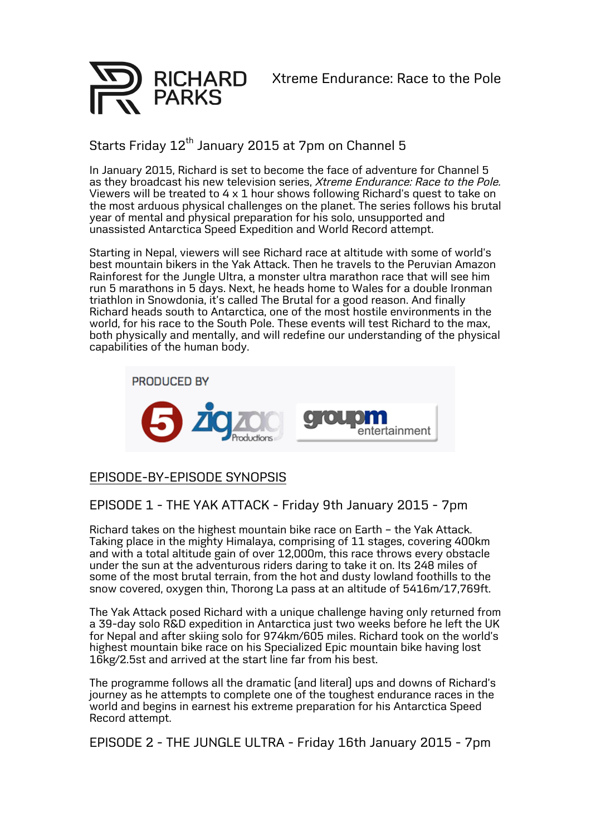



## Starts Friday 12<sup>th</sup> January 2015 at 7pm on Channel 5

In January 2015, Richard is set to become the face of adventure for Channel 5 as they broadcast his new television series, *Xtreme Endurance: Race to the Pole.* Viewers will be treated to 4 x 1 hour shows following Richard's quest to take on the most arduous physical challenges on the planet. The series follows his brutal year of mental and physical preparation for his solo, unsupported and unassisted Antarctica Speed Expedition and World Record attempt.

Starting in Nepal, viewers will see Richard race at altitude with some of world's best mountain bikers in the Yak Attack. Then he travels to the Peruvian Amazon Rainforest for the Jungle Ultra, a monster ultra marathon race that will see him run 5 marathons in 5 days. Next, he heads home to Wales for a double Ironman triathlon in Snowdonia, it's called The Brutal for a good reason. And finally Richard heads south to Antarctica, one of the most hostile environments in the world, for his race to the South Pole. These events will test Richard to the max, both physically and mentally, and will redefine our understanding of the physical capabilities of the human body.



## EPISODE-BY-EPISODE SYNOPSIS

## EPISODE <sup>1</sup> - THE YAK ATTACK - Friday 9th January <sup>2015</sup> - 7pm

Richard takes on the highest mountain bike race on Earth – the Yak Attack. Taking place in the mighty Himalaya, comprising of 11 stages, covering 400km and with a total altitude gain of over 12,000m, this race throws every obstacle under the sun at the adventurous riders daring to take it on. Its 248 miles of some of the most brutal terrain, from the hot and dusty lowland foothills to the snow covered, oxygen thin, Thorong La pass at an altitude of 5416m/17,769ft.

The Yak Attack posed Richard with a unique challenge having only returned from a 39-day solo R&D expedition in Antarctica just two weeks before he left the UK for Nepal and after skiing solo for 974km/605 miles. Richard took on the world's highest mountain bike race on his Specialized Epic mountain bike having lost 16kg/2.5st and arrived at the start line far from his best.

The programme follows all the dramatic (and literal) ups and downs of Richard's journey as he attempts to complete one of the toughest endurance races in the world and begins in earnest his extreme preparation for his Antarctica Speed Record attempt.

EPISODE <sup>2</sup> - THE JUNGLE ULTRA - Friday 16th January <sup>2015</sup> - 7pm